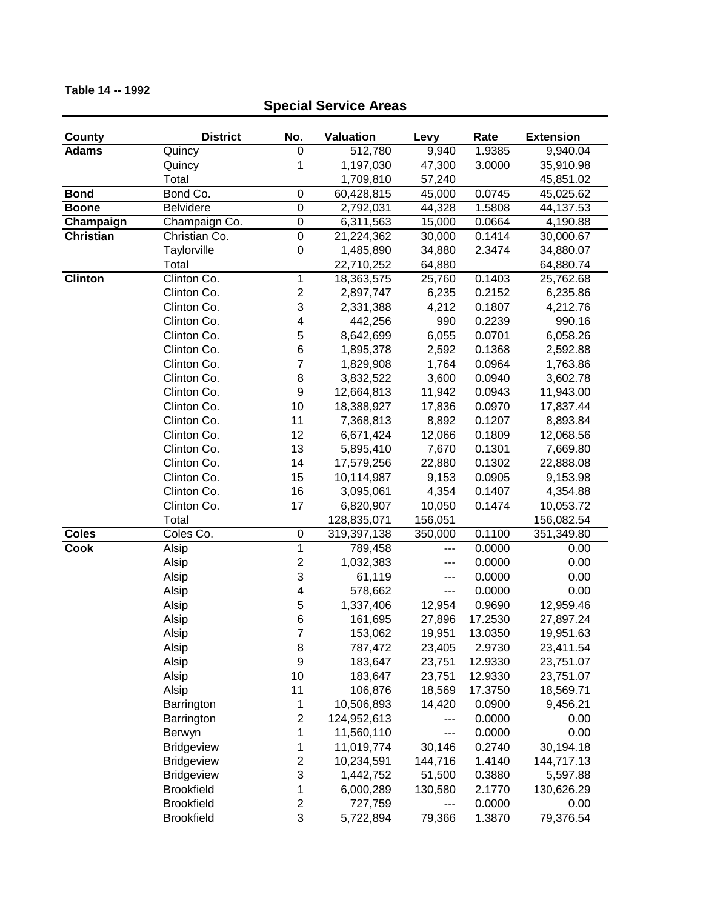| County           | <b>District</b>   | No.                     | Valuation   | Levy    | Rate    | <b>Extension</b> |
|------------------|-------------------|-------------------------|-------------|---------|---------|------------------|
| <b>Adams</b>     | Quincy            | 0                       | 512,780     | 9,940   | 1.9385  | 9,940.04         |
|                  | Quincy            | 1                       | 1,197,030   | 47,300  | 3.0000  | 35,910.98        |
|                  | Total             |                         | 1,709,810   | 57,240  |         | 45,851.02        |
| <b>Bond</b>      | Bond Co.          | 0                       | 60,428,815  | 45,000  | 0.0745  | 45,025.62        |
| <b>Boone</b>     | Belvidere         | $\overline{0}$          | 2,792,031   | 44,328  | 1.5808  | 44,137.53        |
| Champaign        | Champaign Co.     | $\mathbf 0$             | 6,311,563   | 15,000  | 0.0664  | 4,190.88         |
| <b>Christian</b> | Christian Co.     | $\boldsymbol{0}$        | 21,224,362  | 30,000  | 0.1414  | 30,000.67        |
|                  | Taylorville       | $\boldsymbol{0}$        | 1,485,890   | 34,880  | 2.3474  | 34,880.07        |
|                  | Total             |                         | 22,710,252  | 64,880  |         | 64,880.74        |
| <b>Clinton</b>   | Clinton Co.       | $\mathbf{1}$            | 18,363,575  | 25,760  | 0.1403  | 25,762.68        |
|                  | Clinton Co.       | $\overline{\mathbf{c}}$ | 2,897,747   | 6,235   | 0.2152  | 6,235.86         |
|                  | Clinton Co.       | 3                       | 2,331,388   | 4,212   | 0.1807  | 4,212.76         |
|                  | Clinton Co.       | 4                       | 442,256     | 990     | 0.2239  | 990.16           |
|                  | Clinton Co.       | 5                       | 8,642,699   | 6,055   | 0.0701  | 6,058.26         |
|                  | Clinton Co.       | 6                       | 1,895,378   | 2,592   | 0.1368  | 2,592.88         |
|                  | Clinton Co.       | $\overline{7}$          | 1,829,908   | 1,764   | 0.0964  | 1,763.86         |
|                  | Clinton Co.       | 8                       | 3,832,522   | 3,600   | 0.0940  | 3,602.78         |
|                  | Clinton Co.       | $\boldsymbol{9}$        | 12,664,813  | 11,942  | 0.0943  | 11,943.00        |
|                  | Clinton Co.       | 10                      | 18,388,927  | 17,836  | 0.0970  | 17,837.44        |
|                  | Clinton Co.       | 11                      | 7,368,813   | 8,892   | 0.1207  | 8,893.84         |
|                  | Clinton Co.       | 12                      | 6,671,424   | 12,066  | 0.1809  | 12,068.56        |
|                  | Clinton Co.       | 13                      | 5,895,410   | 7,670   | 0.1301  | 7,669.80         |
|                  | Clinton Co.       | 14                      | 17,579,256  | 22,880  | 0.1302  | 22,888.08        |
|                  | Clinton Co.       | 15                      | 10,114,987  | 9,153   | 0.0905  | 9,153.98         |
|                  | Clinton Co.       | 16                      | 3,095,061   | 4,354   | 0.1407  | 4,354.88         |
|                  | Clinton Co.       | 17                      | 6,820,907   | 10,050  | 0.1474  | 10,053.72        |
|                  | Total             |                         | 128,835,071 | 156,051 |         | 156,082.54       |
| <b>Coles</b>     | Coles Co.         | $\boldsymbol{0}$        | 319,397,138 | 350,000 | 0.1100  | 351,349.80       |
| <b>Cook</b>      | Alsip             | $\overline{1}$          | 789,458     | ---     | 0.0000  | 0.00             |
|                  | Alsip             | $\overline{\mathbf{c}}$ | 1,032,383   | ---     | 0.0000  | 0.00             |
|                  | Alsip             | 3                       | 61,119      | ---     | 0.0000  | 0.00             |
|                  | Alsip             | $\overline{\mathbf{4}}$ | 578,662     | ---     | 0.0000  | 0.00             |
|                  | Alsip             | 5                       | 1,337,406   | 12,954  | 0.9690  | 12,959.46        |
|                  | Alsip             | 6                       | 161,695     | 27,896  | 17.2530 | 27,897.24        |
|                  | Alsip             | 7                       | 153,062     | 19,951  | 13.0350 | 19,951.63        |
|                  | Alsip             | 8                       | 787,472     | 23,405  | 2.9730  | 23,411.54        |
|                  | Alsip             | 9                       | 183,647     | 23,751  | 12.9330 | 23,751.07        |
|                  | Alsip             | 10                      | 183,647     | 23,751  | 12.9330 | 23,751.07        |
|                  | Alsip             | 11                      | 106,876     | 18,569  | 17.3750 | 18,569.71        |
|                  | Barrington        | 1                       | 10,506,893  | 14,420  | 0.0900  | 9,456.21         |
|                  | Barrington        | $\boldsymbol{2}$        | 124,952,613 | ---     | 0.0000  | 0.00             |
|                  | Berwyn            | 1                       | 11,560,110  | ---     | 0.0000  | 0.00             |
|                  | <b>Bridgeview</b> | 1                       | 11,019,774  | 30,146  | 0.2740  | 30,194.18        |
|                  | <b>Bridgeview</b> | $\overline{\mathbf{c}}$ | 10,234,591  | 144,716 | 1.4140  | 144,717.13       |
|                  | <b>Bridgeview</b> | 3                       | 1,442,752   | 51,500  | 0.3880  | 5,597.88         |
|                  | <b>Brookfield</b> | 1                       | 6,000,289   | 130,580 | 2.1770  | 130,626.29       |
|                  | <b>Brookfield</b> | $\boldsymbol{2}$        | 727,759     |         | 0.0000  | 0.00             |
|                  | <b>Brookfield</b> | 3                       | 5,722,894   | 79,366  | 1.3870  | 79,376.54        |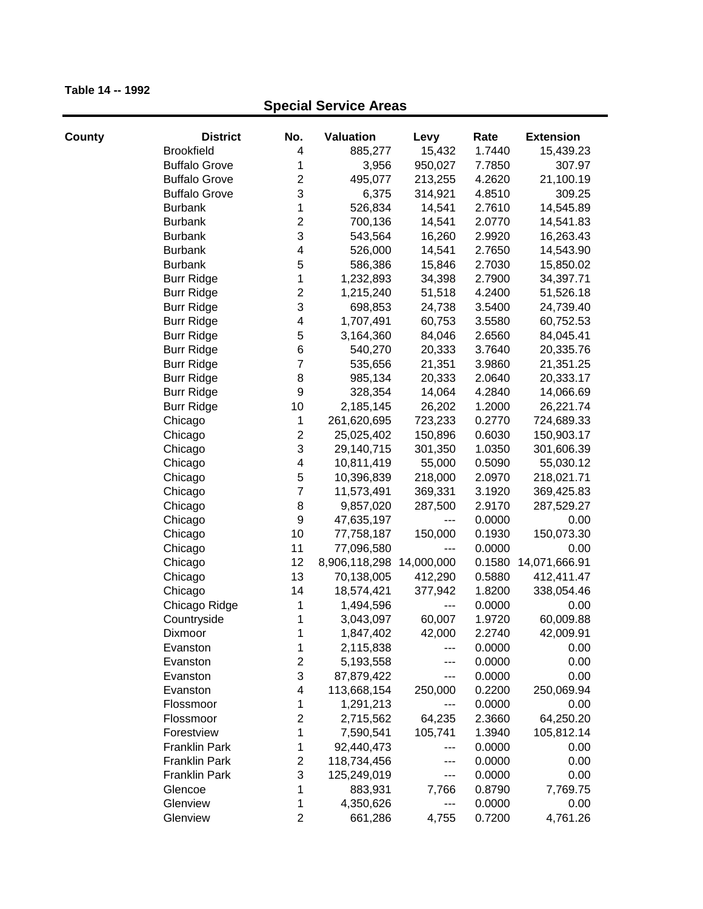| County | <b>District</b>      | No.                       | Valuation     | Levy       | Rate   | <b>Extension</b>     |
|--------|----------------------|---------------------------|---------------|------------|--------|----------------------|
|        | <b>Brookfield</b>    | 4                         | 885,277       | 15,432     | 1.7440 | 15,439.23            |
|        | <b>Buffalo Grove</b> | 1                         | 3,956         | 950,027    | 7.7850 | 307.97               |
|        | <b>Buffalo Grove</b> | $\overline{c}$            | 495,077       | 213,255    | 4.2620 | 21,100.19            |
|        | <b>Buffalo Grove</b> | 3                         | 6,375         | 314,921    | 4.8510 | 309.25               |
|        | <b>Burbank</b>       | 1                         | 526,834       | 14,541     | 2.7610 | 14,545.89            |
|        | <b>Burbank</b>       | $\mathbf 2$               | 700,136       | 14,541     | 2.0770 | 14,541.83            |
|        | <b>Burbank</b>       | 3                         | 543,564       | 16,260     | 2.9920 | 16,263.43            |
|        | <b>Burbank</b>       | $\overline{\mathbf{4}}$   | 526,000       | 14,541     | 2.7650 | 14,543.90            |
|        | <b>Burbank</b>       | 5                         | 586,386       | 15,846     | 2.7030 | 15,850.02            |
|        | <b>Burr Ridge</b>    | $\mathbf 1$               | 1,232,893     | 34,398     | 2.7900 | 34,397.71            |
|        | <b>Burr Ridge</b>    | $\boldsymbol{2}$          | 1,215,240     | 51,518     | 4.2400 | 51,526.18            |
|        | <b>Burr Ridge</b>    | 3                         | 698,853       | 24,738     | 3.5400 | 24,739.40            |
|        | <b>Burr Ridge</b>    | 4                         | 1,707,491     | 60,753     | 3.5580 | 60,752.53            |
|        | <b>Burr Ridge</b>    | 5                         | 3,164,360     | 84,046     | 2.6560 | 84,045.41            |
|        | <b>Burr Ridge</b>    | 6                         | 540,270       | 20,333     | 3.7640 | 20,335.76            |
|        | <b>Burr Ridge</b>    | $\overline{7}$            | 535,656       | 21,351     | 3.9860 | 21,351.25            |
|        | <b>Burr Ridge</b>    | 8                         | 985,134       | 20,333     | 2.0640 | 20,333.17            |
|        | <b>Burr Ridge</b>    | $\boldsymbol{9}$          | 328,354       | 14,064     | 4.2840 | 14,066.69            |
|        | <b>Burr Ridge</b>    | 10                        | 2,185,145     | 26,202     | 1.2000 | 26,221.74            |
|        | Chicago              | 1                         | 261,620,695   | 723,233    | 0.2770 | 724,689.33           |
|        | Chicago              | $\mathbf 2$               | 25,025,402    | 150,896    | 0.6030 | 150,903.17           |
|        | Chicago              | $\ensuremath{\mathsf{3}}$ | 29,140,715    | 301,350    | 1.0350 | 301,606.39           |
|        | Chicago              | $\overline{\mathbf{4}}$   | 10,811,419    | 55,000     | 0.5090 | 55,030.12            |
|        | Chicago              | 5                         | 10,396,839    | 218,000    | 2.0970 | 218,021.71           |
|        | Chicago              | $\overline{7}$            | 11,573,491    | 369,331    | 3.1920 | 369,425.83           |
|        | Chicago              | 8                         | 9,857,020     | 287,500    | 2.9170 | 287,529.27           |
|        | Chicago              | 9                         | 47,635,197    | $--$       | 0.0000 | 0.00                 |
|        | Chicago              | 10                        | 77,758,187    | 150,000    | 0.1930 | 150,073.30           |
|        | Chicago              | 11                        | 77,096,580    | $---$      | 0.0000 | 0.00                 |
|        | Chicago              | 12                        | 8,906,118,298 | 14,000,000 |        | 0.1580 14,071,666.91 |
|        | Chicago              | 13                        | 70,138,005    | 412,290    | 0.5880 | 412,411.47           |
|        | Chicago              | 14                        | 18,574,421    | 377,942    | 1.8200 | 338,054.46           |
|        | Chicago Ridge        | 1                         | 1,494,596     | ---        | 0.0000 | 0.00                 |
|        | Countryside          | 1                         | 3,043,097     | 60,007     | 1.9720 | 60,009.88            |
|        | Dixmoor              | 1                         | 1,847,402     | 42,000     | 2.2740 | 42,009.91            |
|        | Evanston             | 1                         | 2,115,838     | ---        | 0.0000 | 0.00                 |
|        | Evanston             | $\boldsymbol{2}$          | 5,193,558     | ---        | 0.0000 | 0.00                 |
|        | Evanston             | 3                         | 87,879,422    | ---        | 0.0000 | 0.00                 |
|        | Evanston             | $\overline{\mathbf{4}}$   | 113,668,154   | 250,000    | 0.2200 | 250,069.94           |
|        | Flossmoor            | 1                         | 1,291,213     | ---        | 0.0000 | 0.00                 |
|        | Flossmoor            | $\mathbf 2$               | 2,715,562     | 64,235     | 2.3660 | 64,250.20            |
|        | Forestview           | 1                         | 7,590,541     | 105,741    | 1.3940 | 105,812.14           |
|        | Franklin Park        | 1                         | 92,440,473    | ---        | 0.0000 | 0.00                 |
|        | Franklin Park        | $\overline{2}$            | 118,734,456   | ---        | 0.0000 | 0.00                 |
|        | <b>Franklin Park</b> | 3                         | 125,249,019   | $---$      | 0.0000 | 0.00                 |
|        | Glencoe              | 1                         | 883,931       | 7,766      | 0.8790 | 7,769.75             |
|        | Glenview             | 1                         | 4,350,626     | ---        | 0.0000 | 0.00                 |
|        | Glenview             | $\overline{2}$            | 661,286       | 4,755      | 0.7200 | 4,761.26             |
|        |                      |                           |               |            |        |                      |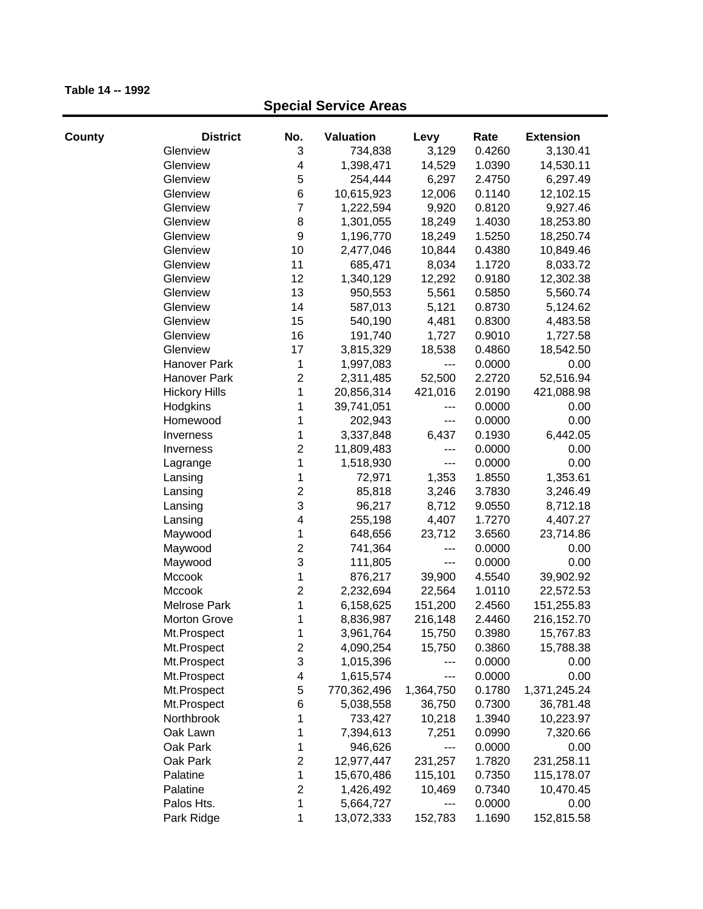| County | <b>District</b>      | No.                     | <b>Valuation</b> | Levy      | Rate   | <b>Extension</b> |
|--------|----------------------|-------------------------|------------------|-----------|--------|------------------|
|        | Glenview             | 3                       | 734,838          | 3,129     | 0.4260 | 3,130.41         |
|        | Glenview             | 4                       | 1,398,471        | 14,529    | 1.0390 | 14,530.11        |
|        | Glenview             | 5                       | 254,444          | 6,297     | 2.4750 | 6,297.49         |
|        | Glenview             | 6                       | 10,615,923       | 12,006    | 0.1140 | 12,102.15        |
|        | Glenview             | $\overline{7}$          | 1,222,594        | 9,920     | 0.8120 | 9,927.46         |
|        | Glenview             | 8                       | 1,301,055        | 18,249    | 1.4030 | 18,253.80        |
|        | Glenview             | $\boldsymbol{9}$        | 1,196,770        | 18,249    | 1.5250 | 18,250.74        |
|        | Glenview             | 10                      | 2,477,046        | 10,844    | 0.4380 | 10,849.46        |
|        | Glenview             | 11                      | 685,471          | 8,034     | 1.1720 | 8,033.72         |
|        | Glenview             | 12                      | 1,340,129        | 12,292    | 0.9180 | 12,302.38        |
|        | Glenview             | 13                      | 950,553          | 5,561     | 0.5850 | 5,560.74         |
|        | Glenview             | 14                      | 587,013          | 5,121     | 0.8730 | 5,124.62         |
|        | Glenview             | 15                      | 540,190          | 4,481     | 0.8300 | 4,483.58         |
|        | Glenview             | 16                      | 191,740          | 1,727     | 0.9010 | 1,727.58         |
|        | Glenview             | 17                      | 3,815,329        | 18,538    | 0.4860 | 18,542.50        |
|        | Hanover Park         | 1                       | 1,997,083        | $---$     | 0.0000 | 0.00             |
|        | <b>Hanover Park</b>  | $\mathbf 2$             | 2,311,485        | 52,500    | 2.2720 | 52,516.94        |
|        | <b>Hickory Hills</b> | 1                       | 20,856,314       | 421,016   | 2.0190 | 421,088.98       |
|        | Hodgkins             | 1                       | 39,741,051       | $---$     | 0.0000 | 0.00             |
|        | Homewood             | 1                       | 202,943          | $---$     | 0.0000 | 0.00             |
|        | Inverness            | 1                       | 3,337,848        | 6,437     | 0.1930 | 6,442.05         |
|        | Inverness            | $\mathbf 2$             | 11,809,483       | $---$     | 0.0000 | 0.00             |
|        | Lagrange             | 1                       | 1,518,930        | $---$     | 0.0000 | 0.00             |
|        | Lansing              | 1                       | 72,971           | 1,353     | 1.8550 | 1,353.61         |
|        | Lansing              | $\overline{c}$          | 85,818           | 3,246     | 3.7830 | 3,246.49         |
|        | Lansing              | 3                       | 96,217           | 8,712     | 9.0550 | 8,712.18         |
|        | Lansing              | $\overline{\mathbf{4}}$ | 255,198          | 4,407     | 1.7270 | 4,407.27         |
|        | Maywood              | 1                       | 648,656          | 23,712    | 3.6560 | 23,714.86        |
|        | Maywood              | $\overline{2}$          | 741,364          | ---       | 0.0000 | 0.00             |
|        | Maywood              | 3                       | 111,805          | $--$      | 0.0000 | 0.00             |
|        | Mccook               | 1                       | 876,217          | 39,900    | 4.5540 | 39,902.92        |
|        | Mccook               | $\overline{2}$          | 2,232,694        | 22,564    | 1.0110 | 22,572.53        |
|        | <b>Melrose Park</b>  | 1                       | 6,158,625        | 151,200   | 2.4560 | 151,255.83       |
|        | <b>Morton Grove</b>  | 1                       | 8,836,987        | 216,148   | 2.4460 | 216,152.70       |
|        | Mt.Prospect          | 1                       | 3,961,764        | 15,750    | 0.3980 | 15,767.83        |
|        | Mt.Prospect          | 2                       | 4,090,254        | 15,750    | 0.3860 | 15,788.38        |
|        | Mt.Prospect          | 3                       | 1,015,396        | ---       | 0.0000 | 0.00             |
|        | Mt.Prospect          | 4                       | 1,615,574        | ---       | 0.0000 | 0.00             |
|        | Mt.Prospect          | 5                       | 770,362,496      | 1,364,750 | 0.1780 | 1,371,245.24     |
|        | Mt.Prospect          | 6                       | 5,038,558        | 36,750    | 0.7300 | 36,781.48        |
|        | Northbrook           | 1                       | 733,427          | 10,218    | 1.3940 | 10,223.97        |
|        | Oak Lawn             | 1                       | 7,394,613        | 7,251     | 0.0990 | 7,320.66         |
|        | Oak Park             | 1                       | 946,626          | ---       | 0.0000 | 0.00             |
|        | Oak Park             | $\overline{c}$          | 12,977,447       | 231,257   | 1.7820 | 231,258.11       |
|        | Palatine             | 1                       | 15,670,486       | 115,101   | 0.7350 | 115,178.07       |
|        | Palatine             | 2                       | 1,426,492        | 10,469    | 0.7340 | 10,470.45        |
|        | Palos Hts.           | 1                       | 5,664,727        | ---       | 0.0000 | 0.00             |
|        | Park Ridge           | 1                       | 13,072,333       | 152,783   | 1.1690 | 152,815.58       |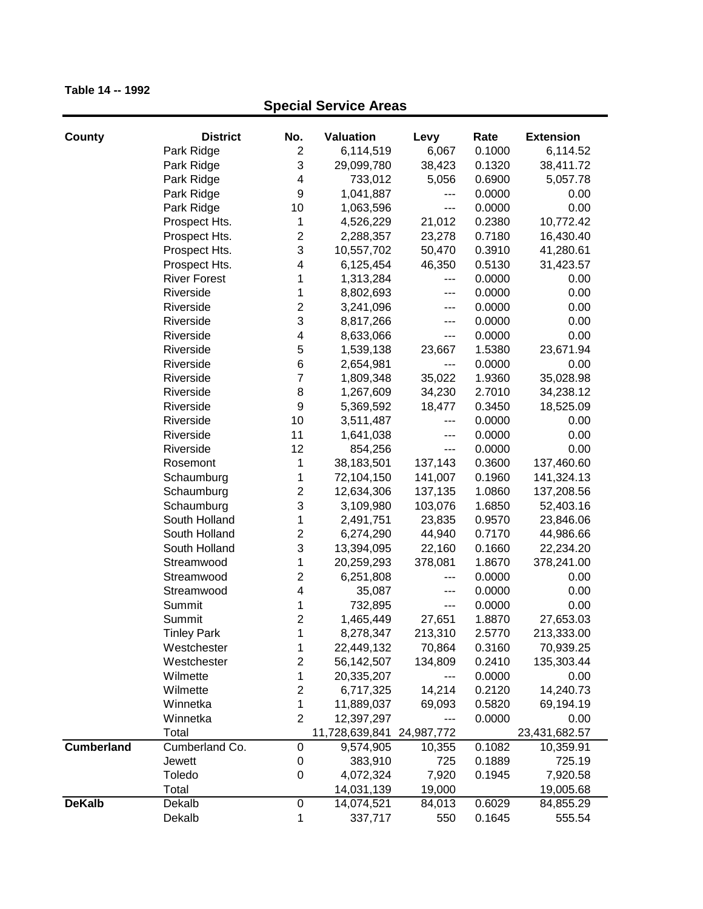| County            | <b>District</b>     | No.                     | <b>Valuation</b>          | Levy              | Rate   | <b>Extension</b> |
|-------------------|---------------------|-------------------------|---------------------------|-------------------|--------|------------------|
|                   | Park Ridge          | $\overline{c}$          | 6,114,519                 | 6,067             | 0.1000 | 6,114.52         |
|                   | Park Ridge          | 3                       | 29,099,780                | 38,423            | 0.1320 | 38,411.72        |
|                   | Park Ridge          | 4                       | 733,012                   | 5,056             | 0.6900 | 5,057.78         |
|                   | Park Ridge          | $\boldsymbol{9}$        | 1,041,887                 | ---               | 0.0000 | 0.00             |
|                   | Park Ridge          | 10                      | 1,063,596                 | ---               | 0.0000 | 0.00             |
|                   | Prospect Hts.       | 1                       | 4,526,229                 | 21,012            | 0.2380 | 10,772.42        |
|                   | Prospect Hts.       | $\mathbf 2$             | 2,288,357                 | 23,278            | 0.7180 | 16,430.40        |
|                   | Prospect Hts.       | 3                       | 10,557,702                | 50,470            | 0.3910 | 41,280.61        |
|                   | Prospect Hts.       | 4                       | 6,125,454                 | 46,350            | 0.5130 | 31,423.57        |
|                   | <b>River Forest</b> | 1                       | 1,313,284                 | ---               | 0.0000 | 0.00             |
|                   | Riverside           | 1                       | 8,802,693                 | ---               | 0.0000 | 0.00             |
|                   | Riverside           | $\overline{c}$          | 3,241,096                 | ---               | 0.0000 | 0.00             |
|                   | Riverside           | 3                       | 8,817,266                 | ---               | 0.0000 | 0.00             |
|                   | Riverside           | $\overline{\mathbf{4}}$ | 8,633,066                 | ---               | 0.0000 | 0.00             |
|                   | Riverside           | 5                       | 1,539,138                 | 23,667            | 1.5380 | 23,671.94        |
|                   | Riverside           | $\,6$                   | 2,654,981                 | ---               | 0.0000 | 0.00             |
|                   | Riverside           | $\overline{7}$          | 1,809,348                 | 35,022            | 1.9360 | 35,028.98        |
|                   | Riverside           | 8                       | 1,267,609                 | 34,230            | 2.7010 | 34,238.12        |
|                   | Riverside           | $\boldsymbol{9}$        | 5,369,592                 | 18,477            | 0.3450 | 18,525.09        |
|                   | Riverside           | 10                      | 3,511,487                 | $---$             | 0.0000 | 0.00             |
|                   | Riverside           | 11                      | 1,641,038                 | ---               | 0.0000 | 0.00             |
|                   | Riverside           | 12                      | 854,256                   | $\qquad \qquad -$ | 0.0000 | 0.00             |
|                   | Rosemont            | 1                       | 38,183,501                | 137,143           | 0.3600 | 137,460.60       |
|                   | Schaumburg          | 1                       | 72,104,150                | 141,007           | 0.1960 | 141,324.13       |
|                   | Schaumburg          | $\overline{c}$          | 12,634,306                | 137,135           | 1.0860 | 137,208.56       |
|                   | Schaumburg          | 3                       | 3,109,980                 | 103,076           | 1.6850 | 52,403.16        |
|                   | South Holland       | 1                       | 2,491,751                 | 23,835            | 0.9570 | 23,846.06        |
|                   | South Holland       | $\overline{c}$          | 6,274,290                 | 44,940            | 0.7170 | 44,986.66        |
|                   | South Holland       | 3                       | 13,394,095                | 22,160            | 0.1660 | 22,234.20        |
|                   | Streamwood          | 1                       | 20,259,293                | 378,081           | 1.8670 | 378,241.00       |
|                   | Streamwood          | $\mathbf 2$             | 6,251,808                 | ---               | 0.0000 | 0.00             |
|                   | Streamwood          | $\overline{\mathbf{4}}$ | 35,087                    | ---               | 0.0000 | 0.00             |
|                   | Summit              | 1                       | 732,895                   | $---$             | 0.0000 | 0.00             |
|                   | Summit              | $\overline{c}$          | 1,465,449                 | 27,651            | 1.8870 | 27,653.03        |
|                   | <b>Tinley Park</b>  | 1                       | 8,278,347                 | 213,310           | 2.5770 | 213,333.00       |
|                   | Westchester         | 1                       | 22,449,132                | 70,864            | 0.3160 | 70,939.25        |
|                   | Westchester         | $\overline{\mathbf{c}}$ | 56,142,507                | 134,809           | 0.2410 | 135,303.44       |
|                   | Wilmette            | 1                       | 20,335,207                | ---               | 0.0000 | 0.00             |
|                   | Wilmette            | $\mathbf 2$             | 6,717,325                 | 14,214            | 0.2120 | 14,240.73        |
|                   | Winnetka            | 1                       | 11,889,037                | 69,093            | 0.5820 | 69,194.19        |
|                   | Winnetka            | $\overline{2}$          | 12,397,297                | ---               | 0.0000 | 0.00             |
|                   | Total               |                         | 11,728,639,841 24,987,772 |                   |        | 23,431,682.57    |
| <b>Cumberland</b> | Cumberland Co.      | 0                       | 9,574,905                 | 10,355            | 0.1082 | 10,359.91        |
|                   | Jewett              | 0                       | 383,910                   | 725               | 0.1889 | 725.19           |
|                   | Toledo              | 0                       | 4,072,324                 | 7,920             | 0.1945 | 7,920.58         |
|                   | Total               |                         | 14,031,139                | 19,000            |        | 19,005.68        |
| <b>DeKalb</b>     | Dekalb              | $\boldsymbol{0}$        | 14,074,521                | 84,013            | 0.6029 | 84,855.29        |
|                   | Dekalb              | 1                       | 337,717                   | 550               | 0.1645 | 555.54           |
|                   |                     |                         |                           |                   |        |                  |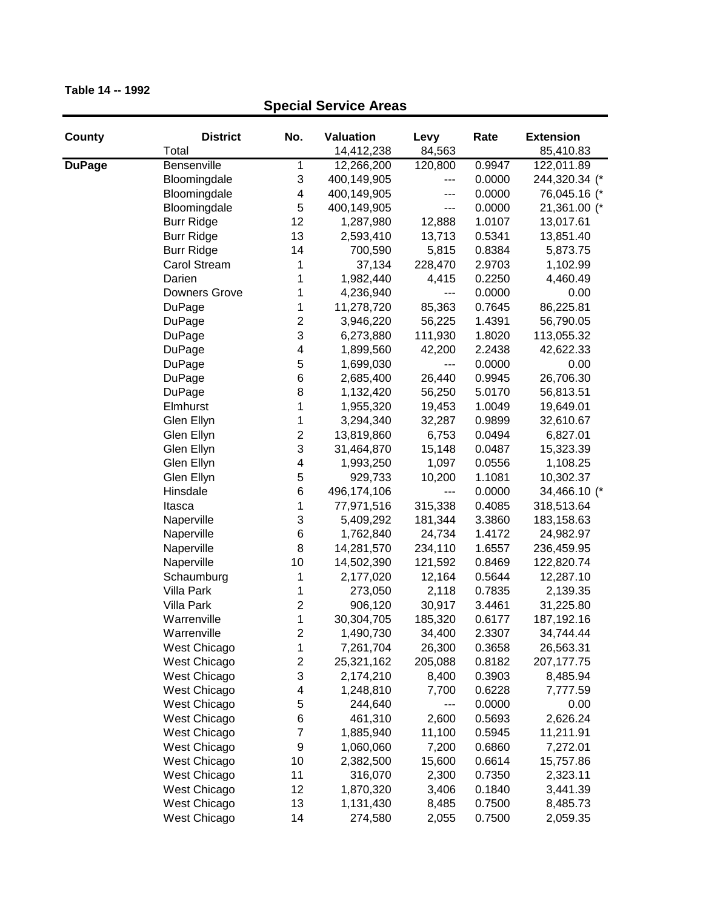| County        | <b>District</b><br>Total | No.                     | Valuation<br>14,412,238 | Levy<br>84,563 | Rate   | <b>Extension</b><br>85,410.83 |
|---------------|--------------------------|-------------------------|-------------------------|----------------|--------|-------------------------------|
| <b>DuPage</b> | Bensenville              | 1                       | 12,266,200              | 120,800        | 0.9947 | 122,011.89                    |
|               | Bloomingdale             | 3                       | 400,149,905             | ---            | 0.0000 | 244,320.34 (*                 |
|               | Bloomingdale             | 4                       | 400,149,905             |                | 0.0000 | 76,045.16 (*                  |
|               | Bloomingdale             | 5                       | 400,149,905             | ---            | 0.0000 | 21,361.00 (*                  |
|               | <b>Burr Ridge</b>        | 12                      | 1,287,980               | 12,888         | 1.0107 | 13,017.61                     |
|               | <b>Burr Ridge</b>        | 13                      | 2,593,410               | 13,713         | 0.5341 | 13,851.40                     |
|               | <b>Burr Ridge</b>        | 14                      | 700,590                 | 5,815          | 0.8384 | 5,873.75                      |
|               | <b>Carol Stream</b>      | 1                       | 37,134                  | 228,470        | 2.9703 | 1,102.99                      |
|               | Darien                   | 1                       | 1,982,440               | 4,415          | 0.2250 | 4,460.49                      |
|               | Downers Grove            | 1                       | 4,236,940               | ---            | 0.0000 | 0.00                          |
|               | DuPage                   | 1                       | 11,278,720              | 85,363         | 0.7645 | 86,225.81                     |
|               | DuPage                   | 2                       | 3,946,220               | 56,225         | 1.4391 | 56,790.05                     |
|               |                          | 3                       | 6,273,880               | 111,930        | 1.8020 |                               |
|               | DuPage                   |                         |                         | 42,200         | 2.2438 | 113,055.32<br>42,622.33       |
|               | DuPage                   | 4                       | 1,899,560               |                | 0.0000 | 0.00                          |
|               | DuPage                   | 5<br>6                  | 1,699,030               | ---            |        |                               |
|               | DuPage                   | 8                       | 2,685,400               | 26,440         | 0.9945 | 26,706.30                     |
|               | <b>DuPage</b>            |                         | 1,132,420               | 56,250         | 5.0170 | 56,813.51                     |
|               | Elmhurst                 | 1                       | 1,955,320               | 19,453         | 1.0049 | 19,649.01                     |
|               | Glen Ellyn               | 1                       | 3,294,340               | 32,287         | 0.9899 | 32,610.67                     |
|               | Glen Ellyn               | $\overline{c}$          | 13,819,860              | 6,753          | 0.0494 | 6,827.01                      |
|               | Glen Ellyn               | 3                       | 31,464,870              | 15,148         | 0.0487 | 15,323.39                     |
|               | Glen Ellyn               | 4                       | 1,993,250               | 1,097          | 0.0556 | 1,108.25                      |
|               | Glen Ellyn               | 5                       | 929,733                 | 10,200         | 1.1081 | 10,302.37                     |
|               | Hinsdale                 | 6                       | 496,174,106             | ---            | 0.0000 | 34,466.10 (*                  |
|               | Itasca                   | 1                       | 77,971,516              | 315,338        | 0.4085 | 318,513.64                    |
|               | Naperville               | 3                       | 5,409,292               | 181,344        | 3.3860 | 183,158.63                    |
|               | Naperville               | 6                       | 1,762,840               | 24,734         | 1.4172 | 24,982.97                     |
|               | Naperville               | 8                       | 14,281,570              | 234,110        | 1.6557 | 236,459.95                    |
|               | Naperville               | 10                      | 14,502,390              | 121,592        | 0.8469 | 122,820.74                    |
|               | Schaumburg               | 1                       | 2,177,020               | 12,164         | 0.5644 | 12,287.10                     |
|               | <b>Villa Park</b>        | 1                       | 273,050                 | 2,118          | 0.7835 | 2,139.35                      |
|               | Villa Park               | 2                       | 906,120                 | 30,917         | 3.4461 | 31,225.80                     |
|               | Warrenville              | 1                       | 30,304,705              | 185,320        | 0.6177 | 187,192.16                    |
|               | Warrenville              | $\overline{c}$          | 1,490,730               | 34,400         | 2.3307 | 34,744.44                     |
|               | West Chicago             | 1                       | 7,261,704               | 26,300         | 0.3658 | 26,563.31                     |
|               | West Chicago             | $\overline{\mathbf{c}}$ | 25,321,162              | 205,088        | 0.8182 | 207, 177. 75                  |
|               | West Chicago             | 3                       | 2,174,210               | 8,400          | 0.3903 | 8,485.94                      |
|               | West Chicago             | 4                       | 1,248,810               | 7,700          | 0.6228 | 7,777.59                      |
|               | West Chicago             | 5                       | 244,640                 | ---            | 0.0000 | 0.00                          |
|               | West Chicago             | 6                       | 461,310                 | 2,600          | 0.5693 | 2,626.24                      |
|               | West Chicago             | $\overline{7}$          | 1,885,940               | 11,100         | 0.5945 | 11,211.91                     |
|               | West Chicago             | 9                       | 1,060,060               | 7,200          | 0.6860 | 7,272.01                      |
|               | West Chicago             | 10                      | 2,382,500               | 15,600         | 0.6614 | 15,757.86                     |
|               | West Chicago             | 11                      | 316,070                 | 2,300          | 0.7350 | 2,323.11                      |
|               | West Chicago             | 12                      | 1,870,320               | 3,406          | 0.1840 | 3,441.39                      |
|               | West Chicago             | 13                      | 1,131,430               | 8,485          | 0.7500 | 8,485.73                      |
|               | West Chicago             | 14                      | 274,580                 | 2,055          | 0.7500 | 2,059.35                      |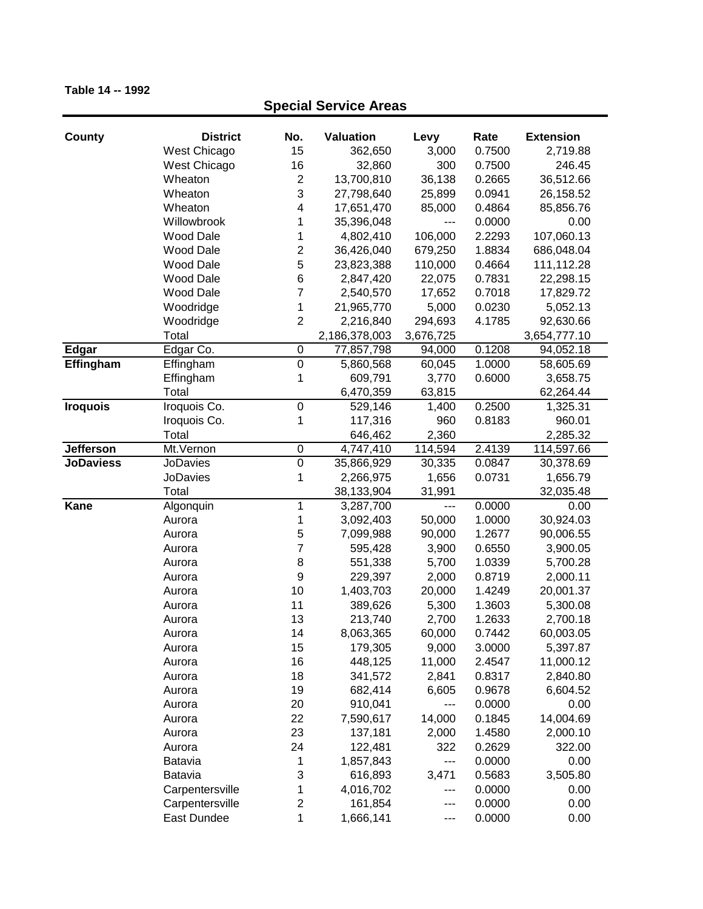| County           | <b>District</b>  | No.              | <b>Valuation</b> | Levy              | Rate             | <b>Extension</b> |
|------------------|------------------|------------------|------------------|-------------------|------------------|------------------|
|                  | West Chicago     | 15               | 362,650          | 3,000             | 0.7500           | 2,719.88         |
|                  | West Chicago     | 16               | 32,860           | 300               | 0.7500           | 246.45           |
|                  | Wheaton          | $\overline{c}$   | 13,700,810       | 36,138            | 0.2665           | 36,512.66        |
|                  | Wheaton          | 3                | 27,798,640       | 25,899            | 0.0941           | 26,158.52        |
|                  | Wheaton          | $\overline{4}$   | 17,651,470       | 85,000            | 0.4864           | 85,856.76        |
|                  | Willowbrook      | 1                | 35,396,048       | $\qquad \qquad -$ | 0.0000           | 0.00             |
|                  |                  | 1                | 4,802,410        |                   |                  | 107,060.13       |
|                  | <b>Wood Dale</b> |                  |                  | 106,000           | 2.2293<br>1.8834 |                  |
|                  | <b>Wood Dale</b> | $\overline{c}$   | 36,426,040       | 679,250           |                  | 686,048.04       |
|                  | <b>Wood Dale</b> | 5                | 23,823,388       | 110,000           | 0.4664           | 111,112.28       |
|                  | <b>Wood Dale</b> | 6                | 2,847,420        | 22,075            | 0.7831           | 22,298.15        |
|                  | Wood Dale        | $\overline{7}$   | 2,540,570        | 17,652            | 0.7018           | 17,829.72        |
|                  | Woodridge        | 1                | 21,965,770       | 5,000             | 0.0230           | 5,052.13         |
|                  | Woodridge        | $\overline{2}$   | 2,216,840        | 294,693           | 4.1785           | 92,630.66        |
|                  | Total            |                  | 2,186,378,003    | 3,676,725         |                  | 3,654,777.10     |
| <b>Edgar</b>     | Edgar Co.        | $\boldsymbol{0}$ | 77,857,798       | 94,000            | 0.1208           | 94,052.18        |
| Effingham        | Effingham        | $\pmb{0}$        | 5,860,568        | 60,045            | 1.0000           | 58,605.69        |
|                  | Effingham        | 1                | 609,791          | 3,770             | 0.6000           | 3,658.75         |
|                  | Total            |                  | 6,470,359        | 63,815            |                  | 62,264.44        |
| <b>Iroquois</b>  | Iroquois Co.     | $\boldsymbol{0}$ | 529,146          | 1,400             | 0.2500           | 1,325.31         |
|                  | Iroquois Co.     | 1                | 117,316          | 960               | 0.8183           | 960.01           |
|                  | Total            |                  | 646,462          | 2,360             |                  | 2,285.32         |
| Jefferson        | Mt.Vernon        | $\boldsymbol{0}$ | 4,747,410        | 114,594           | 2.4139           | 114,597.66       |
| <b>JoDaviess</b> | JoDavies         | $\overline{0}$   | 35,866,929       | 30,335            | 0.0847           | 30,378.69        |
|                  | <b>JoDavies</b>  | 1                | 2,266,975        | 1,656             | 0.0731           | 1,656.79         |
|                  | Total            |                  | 38,133,904       | 31,991            |                  | 32,035.48        |
| Kane             | Algonquin        | 1                | 3,287,700        | $---$             | 0.0000           | 0.00             |
|                  | Aurora           | 1                | 3,092,403        | 50,000            | 1.0000           | 30,924.03        |
|                  | Aurora           | 5                | 7,099,988        | 90,000            | 1.2677           | 90,006.55        |
|                  | Aurora           | 7                | 595,428          | 3,900             | 0.6550           | 3,900.05         |
|                  | Aurora           | 8                | 551,338          | 5,700             | 1.0339           | 5,700.28         |
|                  | Aurora           | 9                | 229,397          | 2,000             | 0.8719           | 2,000.11         |
|                  | Aurora           | 10               | 1,403,703        | 20,000            | 1.4249           | 20,001.37        |
|                  | Aurora           | 11               | 389,626          | 5,300             | 1.3603           | 5,300.08         |
|                  | Aurora           | 13               | 213,740          | 2,700             | 1.2633           | 2,700.18         |
|                  | Aurora           | 14               | 8,063,365        | 60,000            | 0.7442           | 60,003.05        |
|                  | Aurora           | 15               | 179,305          | 9,000             | 3.0000           | 5,397.87         |
|                  | Aurora           | 16               | 448,125          | 11,000            | 2.4547           | 11,000.12        |
|                  | Aurora           | 18               | 341,572          | 2,841             | 0.8317           | 2,840.80         |
|                  | Aurora           | 19               | 682,414          | 6,605             | 0.9678           | 6,604.52         |
|                  | Aurora           | 20               | 910,041          | ---               | 0.0000           | 0.00             |
|                  | Aurora           | 22               | 7,590,617        | 14,000            | 0.1845           | 14,004.69        |
|                  | Aurora           | 23               | 137,181          | 2,000             | 1.4580           | 2,000.10         |
|                  | Aurora           | 24               | 122,481          | 322               | 0.2629           | 322.00           |
|                  | Batavia          | 1                | 1,857,843        | $---$             | 0.0000           | 0.00             |
|                  | <b>Batavia</b>   | 3                | 616,893          | 3,471             | 0.5683           | 3,505.80         |
|                  | Carpentersville  | 1                | 4,016,702        | ---               | 0.0000           | 0.00             |
|                  | Carpentersville  | $\boldsymbol{2}$ | 161,854          | ---               | 0.0000           | 0.00             |
|                  | East Dundee      | 1                | 1,666,141        | $--$              | 0.0000           | 0.00             |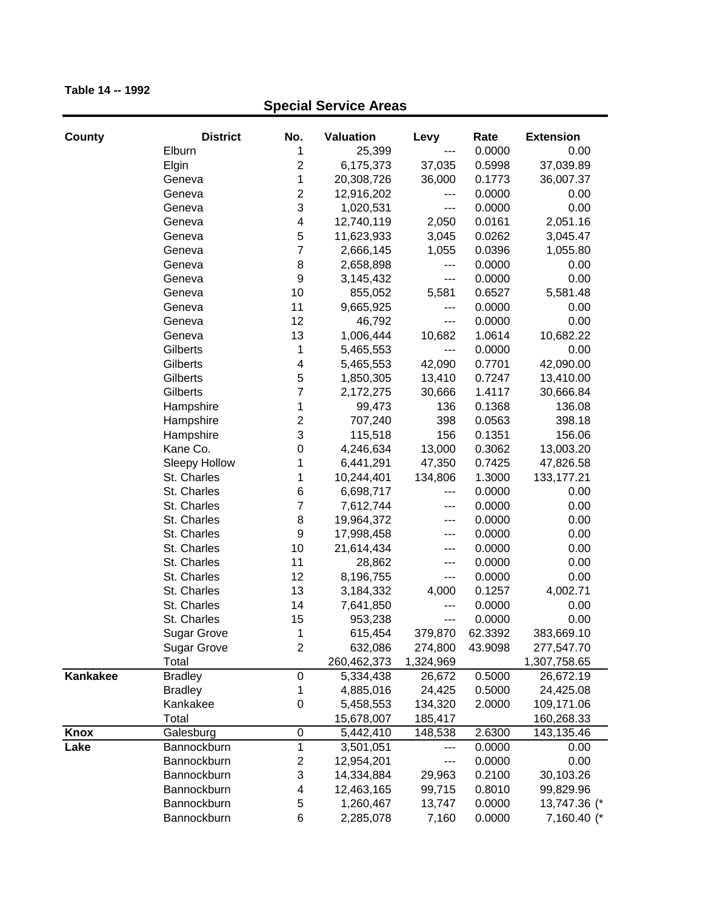| County   | <b>District</b>    | No.                     | <b>Valuation</b> | Levy      | Rate    | <b>Extension</b> |
|----------|--------------------|-------------------------|------------------|-----------|---------|------------------|
|          | Elburn             | 1                       | 25,399           | ---       | 0.0000  | 0.00             |
|          | Elgin              | $\overline{c}$          | 6,175,373        | 37,035    | 0.5998  | 37,039.89        |
|          | Geneva             | 1                       | 20,308,726       | 36,000    | 0.1773  | 36,007.37        |
|          | Geneva             | $\overline{\mathbf{c}}$ | 12,916,202       | ---       | 0.0000  | 0.00             |
|          | Geneva             | 3                       | 1,020,531        | ---       | 0.0000  | 0.00             |
|          | Geneva             | 4                       | 12,740,119       | 2,050     | 0.0161  | 2,051.16         |
|          | Geneva             | 5                       | 11,623,933       | 3,045     | 0.0262  | 3,045.47         |
|          | Geneva             | $\overline{7}$          | 2,666,145        | 1,055     | 0.0396  | 1,055.80         |
|          | Geneva             | $\,$ 8 $\,$             | 2,658,898        | ---       | 0.0000  | 0.00             |
|          | Geneva             | $\boldsymbol{9}$        | 3,145,432        | ---       | 0.0000  | 0.00             |
|          | Geneva             | 10                      | 855,052          | 5,581     | 0.6527  | 5,581.48         |
|          | Geneva             | 11                      | 9,665,925        | ---       | 0.0000  | 0.00             |
|          | Geneva             | 12                      | 46,792           | ---       | 0.0000  | 0.00             |
|          | Geneva             | 13                      | 1,006,444        | 10,682    | 1.0614  | 10,682.22        |
|          | Gilberts           | 1                       | 5,465,553        | ---       | 0.0000  | 0.00             |
|          | Gilberts           | 4                       | 5,465,553        | 42,090    | 0.7701  | 42,090.00        |
|          | Gilberts           | 5                       | 1,850,305        | 13,410    | 0.7247  | 13,410.00        |
|          | Gilberts           | $\overline{7}$          | 2,172,275        | 30,666    | 1.4117  | 30,666.84        |
|          | Hampshire          | 1                       | 99,473           | 136       | 0.1368  | 136.08           |
|          | Hampshire          | $\overline{\mathbf{c}}$ | 707,240          | 398       | 0.0563  | 398.18           |
|          | Hampshire          | 3                       | 115,518          | 156       | 0.1351  | 156.06           |
|          | Kane Co.           | 0                       | 4,246,634        | 13,000    | 0.3062  | 13,003.20        |
|          | Sleepy Hollow      | 1                       | 6,441,291        | 47,350    | 0.7425  | 47,826.58        |
|          | St. Charles        | 1                       | 10,244,401       | 134,806   | 1.3000  | 133, 177. 21     |
|          | St. Charles        | 6                       | 6,698,717        | ---       | 0.0000  | 0.00             |
|          | St. Charles        | $\overline{7}$          | 7,612,744        | ---       | 0.0000  | 0.00             |
|          | St. Charles        | 8                       | 19,964,372       | ---       | 0.0000  | 0.00             |
|          | St. Charles        | 9                       | 17,998,458       | ---       | 0.0000  | 0.00             |
|          | St. Charles        | 10                      | 21,614,434       | ---       | 0.0000  | 0.00             |
|          | St. Charles        | 11                      | 28,862           | ---       | 0.0000  | 0.00             |
|          | St. Charles        | 12                      | 8,196,755        | ---       | 0.0000  | 0.00             |
|          | St. Charles        | 13                      | 3,184,332        | 4,000     | 0.1257  | 4,002.71         |
|          | St. Charles        | 14                      | 7,641,850        | ---       | 0.0000  | 0.00             |
|          | St. Charles        | 15                      | 953,238          | ---       | 0.0000  | 0.00             |
|          | <b>Sugar Grove</b> | 1                       | 615,454          | 379,870   | 62.3392 | 383,669.10       |
|          | <b>Sugar Grove</b> | $\overline{c}$          | 632,086          | 274,800   | 43.9098 | 277,547.70       |
|          | Total              |                         | 260,462,373      | 1,324,969 |         | 1,307,758.65     |
| Kankakee | <b>Bradley</b>     | 0                       | 5,334,438        | 26,672    | 0.5000  | 26,672.19        |
|          | <b>Bradley</b>     | 1                       | 4,885,016        | 24,425    | 0.5000  | 24,425.08        |
|          | Kankakee           | 0                       | 5,458,553        | 134,320   | 2.0000  | 109,171.06       |
|          | Total              |                         | 15,678,007       | 185,417   |         | 160,268.33       |
| Knox     | Galesburg          | 0                       | 5,442,410        | 148,538   | 2.6300  | 143,135.46       |
| Lake     | Bannockburn        | 1                       | 3,501,051        | ---       | 0.0000  | 0.00             |
|          | Bannockburn        | $\overline{\mathbf{c}}$ | 12,954,201       | ---       | 0.0000  | 0.00             |
|          | Bannockburn        | 3                       | 14,334,884       | 29,963    | 0.2100  | 30,103.26        |
|          | Bannockburn        | 4                       | 12,463,165       | 99,715    | 0.8010  | 99,829.96        |
|          | Bannockburn        | 5                       | 1,260,467        | 13,747    | 0.0000  | 13,747.36 (*     |
|          | Bannockburn        | 6                       | 2,285,078        | 7,160     | 0.0000  | 7,160.40 (*      |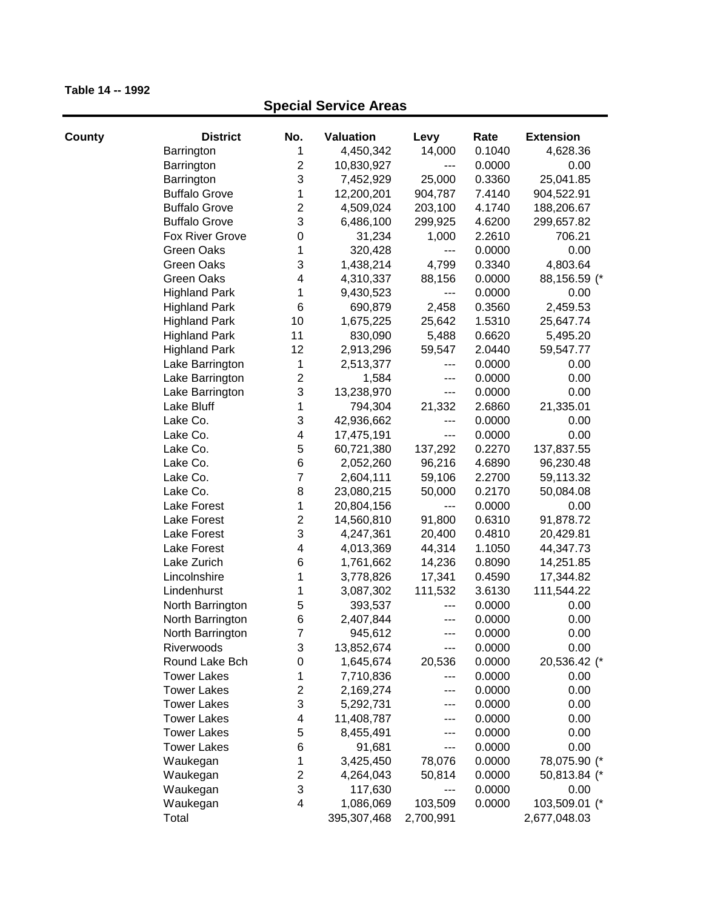| County | <b>District</b>      | No.                     | <b>Valuation</b> | Levy      | Rate   | <b>Extension</b> |
|--------|----------------------|-------------------------|------------------|-----------|--------|------------------|
|        | Barrington           | 1                       | 4,450,342        | 14,000    | 0.1040 | 4,628.36         |
|        | Barrington           | $\overline{2}$          | 10,830,927       | ---       | 0.0000 | 0.00             |
|        | Barrington           | 3                       | 7,452,929        | 25,000    | 0.3360 | 25,041.85        |
|        | <b>Buffalo Grove</b> | 1                       | 12,200,201       | 904,787   | 7.4140 | 904,522.91       |
|        | <b>Buffalo Grove</b> | 2                       | 4,509,024        | 203,100   | 4.1740 | 188,206.67       |
|        | <b>Buffalo Grove</b> | 3                       | 6,486,100        | 299,925   | 4.6200 | 299,657.82       |
|        | Fox River Grove      | $\boldsymbol{0}$        | 31,234           | 1,000     | 2.2610 | 706.21           |
|        | Green Oaks           | 1                       | 320,428          | ---       | 0.0000 | 0.00             |
|        | Green Oaks           | 3                       | 1,438,214        | 4,799     | 0.3340 | 4,803.64         |
|        | Green Oaks           | 4                       | 4,310,337        | 88,156    | 0.0000 | 88,156.59 (*     |
|        | <b>Highland Park</b> | 1                       | 9,430,523        | ---       | 0.0000 | 0.00             |
|        | <b>Highland Park</b> | 6                       | 690,879          | 2,458     | 0.3560 | 2,459.53         |
|        | <b>Highland Park</b> | 10                      | 1,675,225        | 25,642    | 1.5310 | 25,647.74        |
|        | <b>Highland Park</b> | 11                      | 830,090          | 5,488     | 0.6620 | 5,495.20         |
|        | <b>Highland Park</b> | 12                      | 2,913,296        | 59,547    | 2.0440 | 59,547.77        |
|        | Lake Barrington      | 1                       | 2,513,377        | ---       | 0.0000 | 0.00             |
|        | Lake Barrington      | $\overline{\mathbf{c}}$ | 1,584            | ---       | 0.0000 | 0.00             |
|        | Lake Barrington      | 3                       | 13,238,970       | ---       | 0.0000 | 0.00             |
|        | Lake Bluff           | 1                       | 794,304          | 21,332    | 2.6860 | 21,335.01        |
|        | Lake Co.             | 3                       | 42,936,662       | ---       | 0.0000 | 0.00             |
|        | Lake Co.             | 4                       | 17,475,191       | ---       | 0.0000 | 0.00             |
|        | Lake Co.             | 5                       | 60,721,380       | 137,292   | 0.2270 | 137,837.55       |
|        | Lake Co.             | 6                       | 2,052,260        | 96,216    | 4.6890 | 96,230.48        |
|        | Lake Co.             | 7                       | 2,604,111        | 59,106    | 2.2700 | 59,113.32        |
|        | Lake Co.             | 8                       | 23,080,215       | 50,000    | 0.2170 | 50,084.08        |
|        | Lake Forest          | 1                       | 20,804,156       | ---       | 0.0000 | 0.00             |
|        | Lake Forest          | $\boldsymbol{2}$        | 14,560,810       | 91,800    | 0.6310 | 91,878.72        |
|        | Lake Forest          | 3                       | 4,247,361        | 20,400    | 0.4810 | 20,429.81        |
|        | Lake Forest          | 4                       | 4,013,369        | 44,314    | 1.1050 | 44,347.73        |
|        | Lake Zurich          | 6                       | 1,761,662        | 14,236    | 0.8090 | 14,251.85        |
|        | Lincolnshire         | 1                       | 3,778,826        | 17,341    | 0.4590 | 17,344.82        |
|        | Lindenhurst          | 1                       | 3,087,302        | 111,532   | 3.6130 | 111,544.22       |
|        | North Barrington     | 5                       | 393,537          | ---       | 0.0000 | 0.00             |
|        | North Barrington     | 6                       | 2,407,844        | ---       | 0.0000 | 0.00             |
|        | North Barrington     | 7                       | 945,612          |           | 0.0000 | 0.00             |
|        | Riverwoods           | 3                       | 13,852,674       | ---       | 0.0000 | 0.00             |
|        | Round Lake Bch       | 0                       | 1,645,674        | 20,536    | 0.0000 | 20,536.42 (*     |
|        | <b>Tower Lakes</b>   | 1                       | 7,710,836        | ---       | 0.0000 | 0.00             |
|        | <b>Tower Lakes</b>   | 2                       | 2,169,274        | ---       | 0.0000 | 0.00             |
|        | <b>Tower Lakes</b>   | 3                       | 5,292,731        | ---       | 0.0000 | 0.00             |
|        | <b>Tower Lakes</b>   | 4                       | 11,408,787       | ---       | 0.0000 | 0.00             |
|        | <b>Tower Lakes</b>   | 5                       | 8,455,491        | ---       | 0.0000 | 0.00             |
|        | <b>Tower Lakes</b>   | 6                       | 91,681           | ---       | 0.0000 | 0.00             |
|        | Waukegan             | 1                       | 3,425,450        | 78,076    | 0.0000 | 78,075.90 (*     |
|        | Waukegan             | $\overline{\mathbf{c}}$ | 4,264,043        | 50,814    | 0.0000 | 50,813.84 (*     |
|        | Waukegan             | 3                       | 117,630          | ---       | 0.0000 | 0.00             |
|        | Waukegan             | 4                       | 1,086,069        | 103,509   | 0.0000 | 103,509.01 (*    |
|        | Total                |                         | 395,307,468      | 2,700,991 |        | 2,677,048.03     |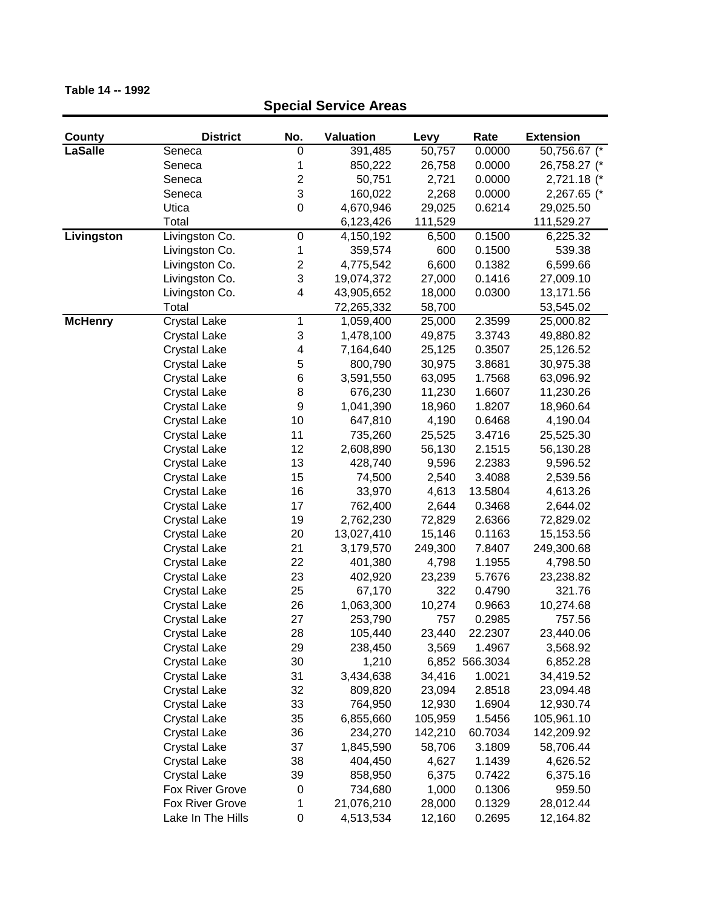| <b>County</b>  | <b>District</b>     | No.                     | <b>Valuation</b> | Levy    | Rate           | <b>Extension</b> |
|----------------|---------------------|-------------------------|------------------|---------|----------------|------------------|
| <b>LaSalle</b> | Seneca              | 0                       | 391,485          | 50,757  | 0.0000         | 50,756.67 (*     |
|                | Seneca              | 1                       | 850,222          | 26,758  | 0.0000         | 26,758.27 (*     |
|                | Seneca              | $\overline{\mathbf{c}}$ | 50,751           | 2,721   | 0.0000         | 2,721.18 (*      |
|                | Seneca              | 3                       | 160,022          | 2,268   | 0.0000         | 2,267.65 (*      |
|                | Utica               | $\overline{0}$          | 4,670,946        | 29,025  | 0.6214         | 29,025.50        |
|                | Total               |                         | 6,123,426        | 111,529 |                | 111,529.27       |
| Livingston     | Livingston Co.      | $\pmb{0}$               | 4,150,192        | 6,500   | 0.1500         | 6,225.32         |
|                | Livingston Co.      | 1                       | 359,574          | 600     | 0.1500         | 539.38           |
|                | Livingston Co.      | 2                       | 4,775,542        | 6,600   | 0.1382         | 6,599.66         |
|                | Livingston Co.      | 3                       | 19,074,372       | 27,000  | 0.1416         | 27,009.10        |
|                | Livingston Co.      | 4                       | 43,905,652       | 18,000  | 0.0300         | 13,171.56        |
|                | Total               |                         | 72,265,332       | 58,700  |                | 53,545.02        |
| <b>McHenry</b> | <b>Crystal Lake</b> | 1                       | 1,059,400        | 25,000  | 2.3599         | 25,000.82        |
|                | <b>Crystal Lake</b> | 3                       | 1,478,100        | 49,875  | 3.3743         | 49,880.82        |
|                | <b>Crystal Lake</b> | 4                       | 7,164,640        | 25,125  | 0.3507         | 25,126.52        |
|                | <b>Crystal Lake</b> | 5                       | 800,790          | 30,975  | 3.8681         | 30,975.38        |
|                | <b>Crystal Lake</b> | 6                       | 3,591,550        | 63,095  | 1.7568         | 63,096.92        |
|                | <b>Crystal Lake</b> | 8                       | 676,230          | 11,230  | 1.6607         | 11,230.26        |
|                | <b>Crystal Lake</b> | 9                       | 1,041,390        | 18,960  | 1.8207         | 18,960.64        |
|                | <b>Crystal Lake</b> | 10                      | 647,810          | 4,190   | 0.6468         | 4,190.04         |
|                | <b>Crystal Lake</b> | 11                      | 735,260          | 25,525  | 3.4716         | 25,525.30        |
|                | <b>Crystal Lake</b> | 12                      | 2,608,890        | 56,130  | 2.1515         | 56,130.28        |
|                | <b>Crystal Lake</b> | 13                      | 428,740          | 9,596   | 2.2383         | 9,596.52         |
|                | <b>Crystal Lake</b> | 15                      | 74,500           | 2,540   | 3.4088         | 2,539.56         |
|                | <b>Crystal Lake</b> | 16                      | 33,970           | 4,613   | 13.5804        | 4,613.26         |
|                | <b>Crystal Lake</b> | 17                      | 762,400          | 2,644   | 0.3468         | 2,644.02         |
|                | <b>Crystal Lake</b> | 19                      | 2,762,230        | 72,829  | 2.6366         | 72,829.02        |
|                | <b>Crystal Lake</b> | 20                      | 13,027,410       | 15,146  | 0.1163         | 15,153.56        |
|                | <b>Crystal Lake</b> | 21                      | 3,179,570        | 249,300 | 7.8407         | 249,300.68       |
|                | <b>Crystal Lake</b> | 22                      | 401,380          | 4,798   | 1.1955         | 4,798.50         |
|                | <b>Crystal Lake</b> | 23                      | 402,920          | 23,239  | 5.7676         | 23,238.82        |
|                | <b>Crystal Lake</b> | 25                      | 67,170           | 322     | 0.4790         | 321.76           |
|                | <b>Crystal Lake</b> | 26                      | 1,063,300        | 10,274  | 0.9663         | 10,274.68        |
|                | <b>Crystal Lake</b> | 27                      | 253,790          | 757     | 0.2985         | 757.56           |
|                | <b>Crystal Lake</b> | 28                      | 105,440          | 23,440  | 22.2307        | 23,440.06        |
|                | <b>Crystal Lake</b> | 29                      | 238,450          | 3,569   | 1.4967         | 3,568.92         |
|                | <b>Crystal Lake</b> | 30                      | 1,210            |         | 6,852 566.3034 | 6,852.28         |
|                | <b>Crystal Lake</b> | 31                      | 3,434,638        | 34,416  | 1.0021         | 34,419.52        |
|                | <b>Crystal Lake</b> | 32                      | 809,820          | 23,094  | 2.8518         | 23,094.48        |
|                | <b>Crystal Lake</b> | 33                      | 764,950          | 12,930  | 1.6904         | 12,930.74        |
|                | <b>Crystal Lake</b> | 35                      | 6,855,660        | 105,959 | 1.5456         | 105,961.10       |
|                | <b>Crystal Lake</b> | 36                      | 234,270          | 142,210 | 60.7034        | 142,209.92       |
|                | <b>Crystal Lake</b> | 37                      | 1,845,590        | 58,706  | 3.1809         | 58,706.44        |
|                | <b>Crystal Lake</b> | 38                      | 404,450          | 4,627   | 1.1439         | 4,626.52         |
|                | <b>Crystal Lake</b> | 39                      | 858,950          | 6,375   | 0.7422         | 6,375.16         |
|                | Fox River Grove     | 0                       | 734,680          | 1,000   | 0.1306         | 959.50           |
|                | Fox River Grove     | 1                       | 21,076,210       | 28,000  | 0.1329         | 28,012.44        |
|                | Lake In The Hills   | 0                       | 4,513,534        | 12,160  | 0.2695         | 12,164.82        |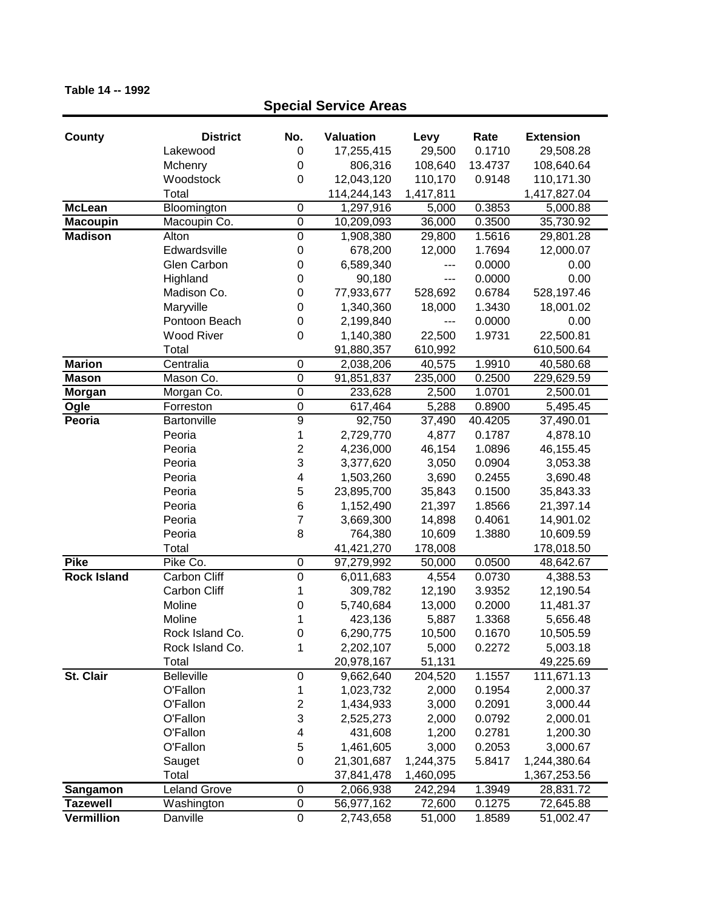## **County District No. Valuation Levy Rate Extension Special Service Areas** Lakewood 0 17,255,415 29,500 0.1710 29,508.28 Mchenry 0 806,316 108,640 13.4737 108,640.64 Woodstock 0 12,043,120 110,170 0.9148 110,171.30 Total 114,244,143 1,417,811 1,417,827.04 **McLean** Bloomington 0 1,297,916 5,000 0.3853 5,000.88 **Macoupin** Macoupin Co. 0 10,209,093 36,000 0.3500 35,730.92 **Madison** Alton 0 1,908,380 29,800 1.5616 29,801.28 Edwardsville 0 678,200 12,000 1.7694 12,000.07 Glen Carbon  $0$  6,589,340 --- 0.0000 0.00 Highland 0 90,180 --- 0.0000 0.00 Madison Co. **0** 77,933,677 528,692 0.6784 528,197.46 Maryville 0 1,340,360 18,000 1.3430 18,001.02 Pontoon Beach  $0$  2,199,840 --- 0.0000 0.00 Wood River 0 1,140,380 22,500 1.9731 22,500.81 Total 91,880,357 610,992 610,500.64 **Marion** Centralia 0 2,038,206 40,575 1.9910 40,580.68 **Mason** Mason Co. 0 91,851,837 235,000 0.2500 229,629.59 **Morgan** Morgan Co. 0 233,628 2,500 1.0701 2,500.01 **Ogle** Forreston 0 617,464 5,288 0.8900 5,495.45 **Peoria** Bartonville 9 92,750 37,490 40.4205 37,490.01 Peoria 1 2,729,770 4,877 0.1787 4,878.10 Peoria 2 4,236,000 46,154 1.0896 46,155.45 Peoria 3 3,377,620 3,050 0.0904 3,053.38 Peoria 4 1,503,260 3,690 0.2455 3,690.48 Peoria 6 5 23,895,700 35,843 0.1500 35,843.33 Peoria 6 1,152,490 21,397 1.8566 21,397.14 Peoria 7 3,669,300 14,898 0.4061 14,901.02 Peoria 8 764,380 10,609 1.3880 10,609.59 Total 41,421,270 178,008 178,018.50 **Pike** Pike Co. 0 97,279,992 50,000 0.0500 48,642.67 **Rock Island** Carbon Cliff 0 6,011,683 4,554 0.0730 4,388.53 Carbon Cliff 1 309,782 12,190 3.9352 12,190.54 Moline 0 5,740,684 13,000 0.2000 11,481.37 Moline 1 423,136 5,887 1.3368 5,656.48 Rock Island Co. 0 6,290,775 10,500 0.1670 10,505.59 Rock Island Co. 1 2,202,107 5,000 0.2272 5,003.18 Total 20,978,167 51,131 49,225.69 **St. Clair** Belleville 0 9,662,640 204,520 1.1557 111,671.13 O'Fallon 1 1,023,732 2,000 0.1954 2,000.37 O'Fallon 2 1,434,933 3,000 0.2091 3,000.44 O'Fallon 3 2,525,273 2,000 0.0792 2,000.01 O'Fallon 4 431,608 1,200 0.2781 1,200.30 O'Fallon 5 1,461,605 3,000 0.2053 3,000.67 Sauget 0 21,301,687 1,244,375 5.8417 1,244,380.64 Total 37,841,478 1,460,095 1,367,253.56 **Sangamon** Leland Grove 0 2,066,938 242,294 1.3949 28,831.72 **Tazewell** Washington 0 56,977,162 72,600 0.1275 72,645.88 **Vermillion** Danville 0 2,743,658 51,000 1.8589 51,002.47

#### **Table 14 -- 1992**